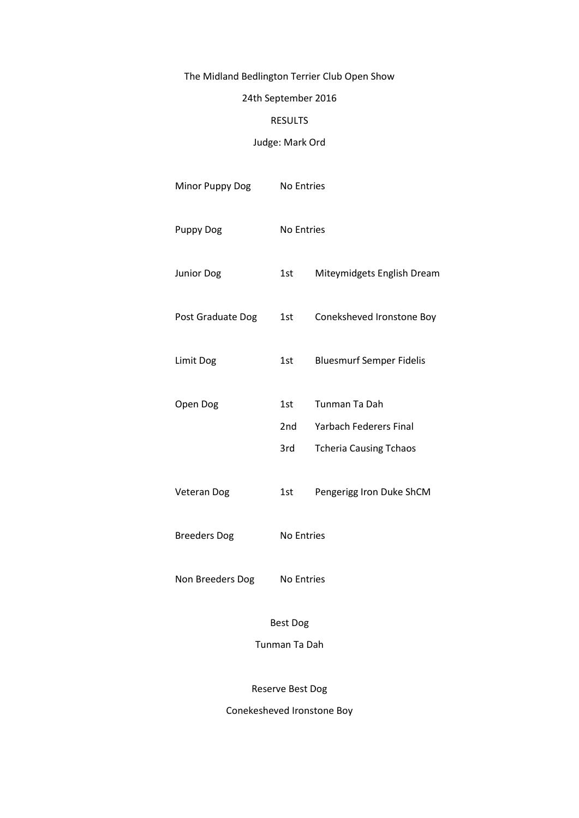# The Midland Bedlington Terrier Club Open Show

# 24th September 2016

### RESULTS

## Judge: Mark Ord

| Minor Puppy Dog     | No Entries |                                                |
|---------------------|------------|------------------------------------------------|
| <b>Puppy Dog</b>    | No Entries |                                                |
| <b>Junior Dog</b>   | 1st        | Miteymidgets English Dream                     |
| Post Graduate Dog   | 1st        | Coneksheved Ironstone Boy                      |
| Limit Dog           | 1st        | <b>Bluesmurf Semper Fidelis</b>                |
| Open Dog            | 1st<br>2nd | Tunman Ta Dah<br><b>Yarbach Federers Final</b> |
|                     | 3rd        | <b>Tcheria Causing Tchaos</b>                  |
| <b>Veteran Dog</b>  | 1st        | Pengerigg Iron Duke ShCM                       |
| <b>Breeders Dog</b> | No Entries |                                                |
| Non Breeders Dog    | No Entries |                                                |

Best Dog

Tunman Ta Dah

Reserve Best Dog

Conekesheved Ironstone Boy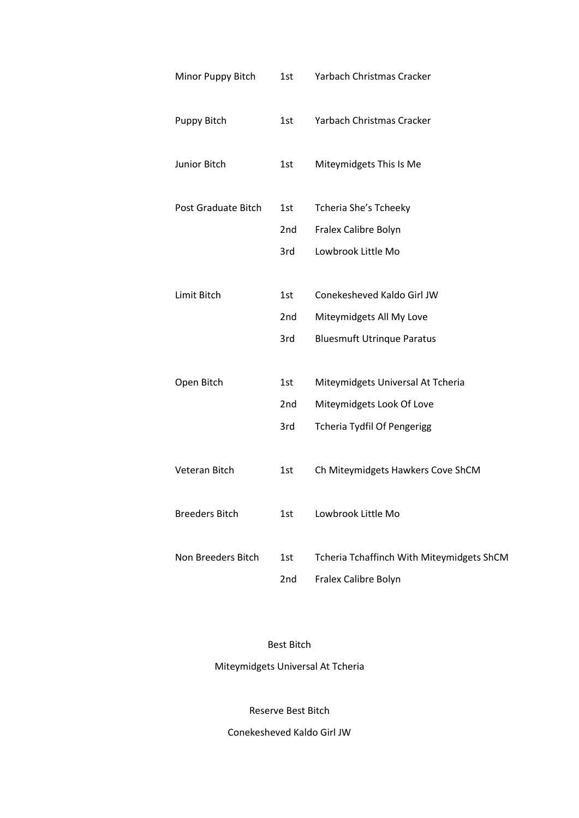| Minor Puppy Bitch     | 1st | Yarbach Christmas Cracker                 |
|-----------------------|-----|-------------------------------------------|
| Puppy Bitch           | 1st | Yarbach Christmas Cracker                 |
| Junior Bitch          | 1st | Miteymidgets This Is Me                   |
| Post Graduate Bitch   | 1st | Tcheria She's Tcheeky                     |
|                       | 2nd | Fralex Calibre Bolyn                      |
|                       | 3rd | Lowbrook Little Mo                        |
|                       |     |                                           |
| Limit Bitch           | 1st | Conekesheved Kaldo Girl JW                |
|                       | 2nd | Miteymidgets All My Love                  |
|                       | 3rd | <b>Bluesmuft Utrinque Paratus</b>         |
|                       |     |                                           |
| Open Bitch            | 1st | Miteymidgets Universal At Tcheria         |
|                       | 2nd | Miteymidgets Look Of Love                 |
|                       | 3rd | <b>Tcheria Tydfil Of Pengerigg</b>        |
|                       |     |                                           |
| Veteran Bitch         | 1st | Ch Miteymidgets Hawkers Cove ShCM         |
|                       |     |                                           |
| <b>Breeders Bitch</b> | 1st | Lowbrook Little Mo                        |
|                       |     |                                           |
| Non Breeders Bitch    | 1st | Tcheria Tchaffinch With Miteymidgets ShCM |
|                       | 2nd | Fralex Calibre Bolyn                      |
|                       |     |                                           |

Best Bitch

Miteymidgets Universal At Tcheria

Reserve Best Bitch

Conekesheved Kaldo Girl JW